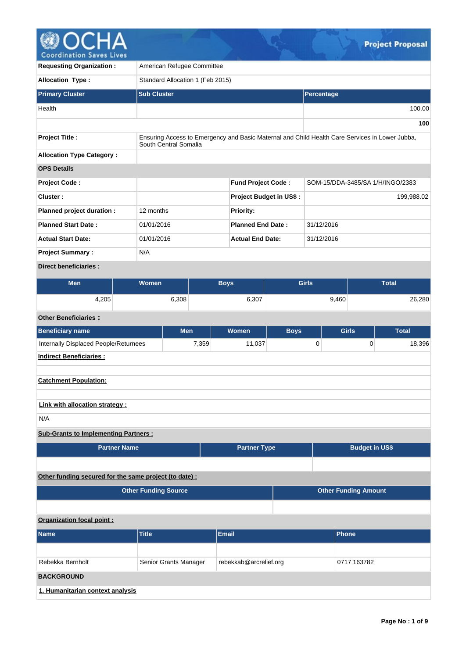

| <b>Requesting Organization:</b>  | American Refugee Committee       |                                |                                                                                                |  |  |  |  |  |  |
|----------------------------------|----------------------------------|--------------------------------|------------------------------------------------------------------------------------------------|--|--|--|--|--|--|
| <b>Allocation Type:</b>          | Standard Allocation 1 (Feb 2015) |                                |                                                                                                |  |  |  |  |  |  |
| <b>Primary Cluster</b>           | <b>Sub Cluster</b>               |                                | Percentage                                                                                     |  |  |  |  |  |  |
| Health                           |                                  |                                | 100.00                                                                                         |  |  |  |  |  |  |
|                                  |                                  |                                | 100                                                                                            |  |  |  |  |  |  |
| <b>Project Title:</b>            | South Central Somalia            |                                | Ensuring Access to Emergency and Basic Maternal and Child Health Care Services in Lower Jubba, |  |  |  |  |  |  |
| <b>Allocation Type Category:</b> |                                  |                                |                                                                                                |  |  |  |  |  |  |
| <b>OPS Details</b>               |                                  |                                |                                                                                                |  |  |  |  |  |  |
| <b>Project Code:</b>             |                                  | <b>Fund Project Code:</b>      | SOM-15/DDA-3485/SA 1/H/INGO/2383                                                               |  |  |  |  |  |  |
| Cluster:                         |                                  | <b>Project Budget in US\$:</b> | 199,988.02                                                                                     |  |  |  |  |  |  |
| Planned project duration :       | 12 months                        | <b>Priority:</b>               |                                                                                                |  |  |  |  |  |  |
| <b>Planned Start Date:</b>       | 01/01/2016                       | <b>Planned End Date:</b>       | 31/12/2016                                                                                     |  |  |  |  |  |  |
| <b>Actual Start Date:</b>        | 01/01/2016                       | <b>Actual End Date:</b>        | 31/12/2016                                                                                     |  |  |  |  |  |  |
| <b>Project Summary:</b>          | N/A                              |                                |                                                                                                |  |  |  |  |  |  |
| <b>Direct beneficiaries:</b>     |                                  |                                |                                                                                                |  |  |  |  |  |  |

| <b>Men</b> | Women | <b>Girls</b><br><b>Bovs</b> |       | <b>Total</b> |
|------------|-------|-----------------------------|-------|--------------|
| 4,205      | 5,308 | 6,307                       | 9,460 | 26,280       |

# **Other Beneficiaries :**

| <b>Beneficiary name</b>                     | <b>Men</b> | Women  | <b>Boys</b> | <b>Girls</b> | <b>Total</b> |
|---------------------------------------------|------------|--------|-------------|--------------|--------------|
| Internally Displaced People/Returnees       | 7,359      | 11,037 | 0           | 0            | 18,396       |
| <b>Indirect Beneficiaries:</b>              |            |        |             |              |              |
|                                             |            |        |             |              |              |
| <b>Catchment Population:</b>                |            |        |             |              |              |
|                                             |            |        |             |              |              |
| Link with allocation strategy:              |            |        |             |              |              |
| N/A                                         |            |        |             |              |              |
| <b>Sub-Grants to Implementing Partners:</b> |            |        |             |              |              |

| <b>Partner Name</b> | <b>Partner Type</b> | <b>Budget in US\$</b> |
|---------------------|---------------------|-----------------------|
|                     |                     |                       |

# **Other funding secured for the same project (to date) :**

| <b>Other Funding Source</b> | <b>Other Funding Amount</b> |
|-----------------------------|-----------------------------|
|                             |                             |

### **Organization focal point :**

| <b>Name</b>                      | <b>Title</b>          | Email                  | <b>Phone</b> |
|----------------------------------|-----------------------|------------------------|--------------|
|                                  |                       |                        |              |
| Rebekka Bernholt                 | Senior Grants Manager | rebekkab@arcrelief.org | 0717 163782  |
| <b>BACKGROUND</b>                |                       |                        |              |
| 1. Humanitarian context analysis |                       |                        |              |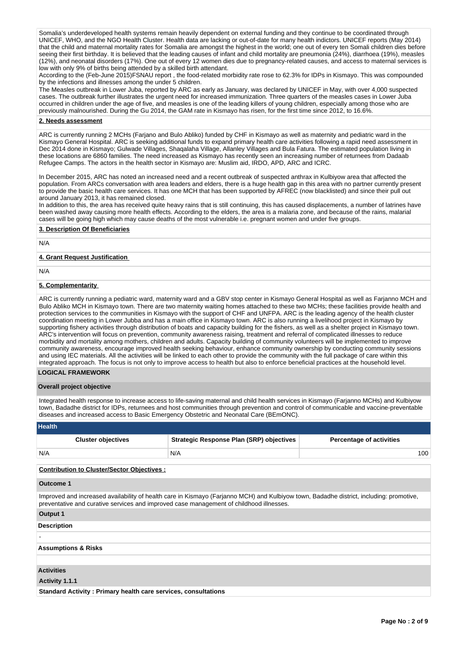Somalia's underdeveloped health systems remain heavily dependent on external funding and they continue to be coordinated through UNICEF, WHO, and the NGO Health Cluster. Health data are lacking or out-of-date for many health indictors. UNICEF reports (May 2014) that the child and maternal mortality rates for Somalia are amongst the highest in the world; one out of every ten Somali children dies before seeing their first birthday. It is believed that the leading causes of infant and child mortality are pneumonia (24%), diarrhoea (19%), measles (12%), and neonatal disorders (17%). One out of every 12 women dies due to pregnancy-related causes, and access to maternal services is low with only 9% of births being attended by a skilled birth attendant.

According to the (Feb-June 2015)FSNAU report , the food-related morbidity rate rose to 62.3% for IDPs in Kismayo. This was compounded by the infections and illnesses among the under 5 children.

The Measles outbreak in Lower Juba, reported by ARC as early as January, was declared by UNICEF in May, with over 4,000 suspected cases. The outbreak further illustrates the urgent need for increased immunization. Three quarters of the measles cases in Lower Juba occurred in children under the age of five, and measles is one of the leading killers of young children, especially among those who are previously malnourished. During the Gu 2014, the GAM rate in Kismayo has risen, for the first time since 2012, to 16.6%.

### **2. Needs assessment**

ARC is currently running 2 MCHs (Farjano and Bulo Abliko) funded by CHF in Kismayo as well as maternity and pediatric ward in the Kismayo General Hospital. ARC is seeking additional funds to expand primary health care activities following a rapid need assessment in Dec 2014 done in Kismayo; Gulwade Villages, Shaqalaha Village, Allanley Villages and Bula Fatura. The estimated population living in these locations are 6860 families. The need increased as Kismayo has recently seen an increasing number of returnees from Dadaab Refugee Camps. The actors in the health sector in Kismayo are: Muslim aid, IRDO, APD, ARC and ICRC.

In December 2015, ARC has noted an increased need and a recent outbreak of suspected anthrax in Kulbiyow area that affected the population. From ARCs conversation with area leaders and elders, there is a huge health gap in this area with no partner currently present to provide the basic health care services. It has one MCH that has been supported by AFREC (now blacklisted) and since their pull out around January 2013, it has remained closed.

In addition to this, the area has received quite heavy rains that is still continuing, this has caused displacements, a number of latrines have been washed away causing more health effects. According to the elders, the area is a malaria zone, and because of the rains, malarial cases will be going high which may cause deaths of the most vulnerable i.e. pregnant women and under five groups.

### **3. Description Of Beneficiaries**

N/A

### **4. Grant Request Justification**

N/A

### **5. Complementarity**

ARC is currently running a pediatric ward, maternity ward and a GBV stop center in Kismayo General Hospital as well as Farjanno MCH and Bulo Abliko MCH in Kismayo town. There are two maternity waiting homes attached to these two MCHs; these facilities provide health and protection services to the communities in Kismayo with the support of CHF and UNFPA. ARC is the leading agency of the health cluster coordination meeting in Lower Jubba and has a main office in Kismayo town. ARC is also running a livelihood project in Kismayo by supporting fishery activities through distribution of boats and capacity building for the fishers, as well as a shelter project in Kismayo town. ARC's intervention will focus on prevention, community awareness raising, treatment and referral of complicated illnesses to reduce morbidity and mortality among mothers, children and adults. Capacity building of community volunteers will be implemented to improve community awareness, encourage improved health seeking behaviour, enhance community ownership by conducting community sessions and using IEC materials. All the activities will be linked to each other to provide the community with the full package of care within this integrated approach. The focus is not only to improve access to health but also to enforce beneficial practices at the household level.

### **LOGICAL FRAMEWORK**

#### **Overall project objective**

Integrated health response to increase access to life-saving maternal and child health services in Kismayo (Farjanno MCHs) and Kulbiyow town, Badadhe district for IDPs, returnees and host communities through prevention and control of communicable and vaccine-preventable diseases and increased access to Basic Emergency Obstetric and Neonatal Care (BEmONC).

| <b>Health</b>                                     |                                                 |                                 |  |  |  |  |  |
|---------------------------------------------------|-------------------------------------------------|---------------------------------|--|--|--|--|--|
| <b>Cluster objectives</b>                         | <b>Strategic Response Plan (SRP) objectives</b> | <b>Percentage of activities</b> |  |  |  |  |  |
| N/A                                               | N/A                                             | 100                             |  |  |  |  |  |
| <b>Contribution to Cluster/Sector Objectives:</b> |                                                 |                                 |  |  |  |  |  |

#### **Outcome 1**

Improved and increased availability of health care in Kismayo (Farjanno MCH) and Kulbiyow town, Badadhe district, including: promotive, preventative and curative services and improved case management of childhood illnesses.

### **Output 1**

-

### **Description**

#### **Assumptions & Risks**

#### **Activities**

**Activity 1.1.1** 

**Standard Activity : Primary health care services, consultations**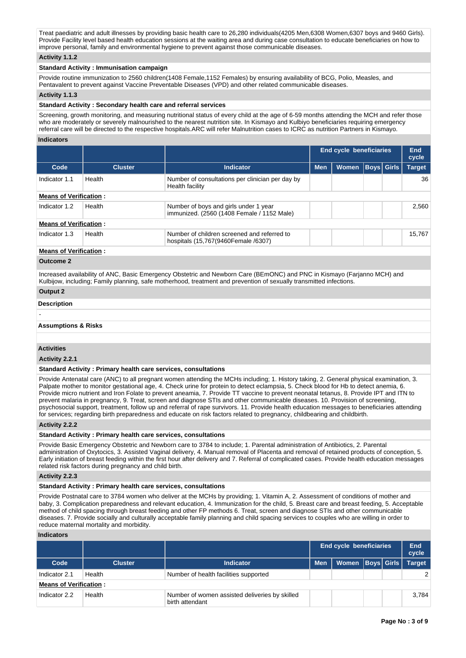Treat paediatric and adult illnesses by providing basic health care to 26,280 individuals(4205 Men,6308 Women,6307 boys and 9460 Girls). Provide Facility level based health education sessions at the waiting area and during case consultation to educate beneficiaries on how to improve personal, family and environmental hygiene to prevent against those communicable diseases.

### **Activity 1.1.2**

### **Standard Activity : Immunisation campaign**

Provide routine immunization to 2560 children(1408 Female,1152 Females) by ensuring availability of BCG, Polio, Measles, and Pentavalent to prevent against Vaccine Preventable Diseases (VPD) and other related communicable diseases.

#### **Activity 1.1.3**

#### **Standard Activity : Secondary health care and referral services**

Screening, growth monitoring, and measuring nutritional status of every child at the age of 6-59 months attending the MCH and refer those who are moderately or severely malnourished to the nearest nutrition site. In Kismayo and Kulbiyo beneficiaries requiring emergency referral care will be directed to the respective hospitals.ARC will refer Malnutrition cases to ICRC as nutrition Partners in Kismayo.

### **Indicators**

|                               |                |                                                                                     | End cycle beneficiaries |              | End<br>cycle      |               |
|-------------------------------|----------------|-------------------------------------------------------------------------------------|-------------------------|--------------|-------------------|---------------|
| Code                          | <b>Cluster</b> | Indicator                                                                           | <b>Men</b>              | <b>Women</b> | <b>Boys Girls</b> | <b>Target</b> |
| Indicator 1.1                 | Health         | Number of consultations per clinician per day by<br>Health facility                 |                         |              |                   | 36            |
| <b>Means of Verification:</b> |                |                                                                                     |                         |              |                   |               |
| Indicator 1.2                 | Health         | Number of boys and girls under 1 year<br>immunized. (2560 (1408 Female / 1152 Male) |                         |              |                   | 2.560         |
| <b>Means of Verification:</b> |                |                                                                                     |                         |              |                   |               |
| Indicator 1.3                 | Health         | Number of children screened and referred to<br>hospitals (15,767(9460Female /6307)  |                         |              |                   | 15,767        |
| <b>Means of Verification:</b> |                |                                                                                     |                         |              |                   |               |

# **Outcome 2**

Increased availability of ANC, Basic Emergency Obstetric and Newborn Care (BEmONC) and PNC in Kismayo (Farjanno MCH) and Kulbijow, including; Family planning, safe motherhood, treatment and prevention of sexually transmitted infections.

### **Output 2**

#### **Description**

-

### **Assumptions & Risks**

#### **Activities**

#### **Activity 2.2.1**

#### **Standard Activity : Primary health care services, consultations**

Provide Antenatal care (ANC) to all pregnant women attending the MCHs including; 1. History taking, 2. General physical examination, 3. Palpate mother to monitor gestational age, 4. Check urine for protein to detect eclampsia, 5. Check blood for Hb to detect anemia, 6. Provide micro nutrient and Iron Folate to prevent aneamia, 7. Provide TT vaccine to prevent neonatal tetanus, 8. Provide IPT and ITN to prevent malaria in pregnancy, 9. Treat, screen and diagnose STIs and other communicable diseases. 10. Provision of screeniing, psychosocial support, treatment, follow up and referral of rape survivors. 11. Provide health education messages to beneficiaries attending for services; regarding birth preparedness and educate on risk factors related to pregnancy, childbearing and childbirth.

#### **Activity 2.2.2**

#### **Standard Activity : Primary health care services, consultations**

Provide Basic Emergency Obstetric and Newborn care to 3784 to include; 1. Parental administration of Antibiotics, 2. Parental administration of Oxytocics, 3. Assisted Vaginal delivery, 4. Manual removal of Placenta and removal of retained products of conception, 5. Early initiation of breast feeding within the first hour after delivery and 7. Referral of complicated cases. Provide health education messages related risk factors during pregnancy and child birth.

#### **Activity 2.2.3**

#### **Standard Activity : Primary health care services, consultations**

Provide Postnatal care to 3784 women who deliver at the MCHs by providing; 1. Vitamin A, 2. Assessment of conditions of mother and baby, 3. Complication preparedness and relevant education, 4. Immunization for the child, 5. Breast care and breast feeding, 5. Acceptable method of child spacing through breast feeding and other FP methods 6. Treat, screen and diagnose STIs and other communicable diseases. 7. Provide socially and culturally acceptable family planning and child spacing services to couples who are willing in order to reduce maternal mortality and morbidity.

### **Indicators**

|                               |                |                                                                   | End cycle beneficiaries | End<br>cycle         |  |        |
|-------------------------------|----------------|-------------------------------------------------------------------|-------------------------|----------------------|--|--------|
| Code                          | <b>Cluster</b> | Indicator                                                         | <b>Men</b>              | Women   Boys   Girls |  | Target |
| Indicator 2.1                 | Health         | Number of health facilities supported                             |                         |                      |  | 2      |
| <b>Means of Verification:</b> |                |                                                                   |                         |                      |  |        |
| Indicator 2.2                 | Health         | Number of women assisted deliveries by skilled<br>birth attendant |                         |                      |  | 3.784  |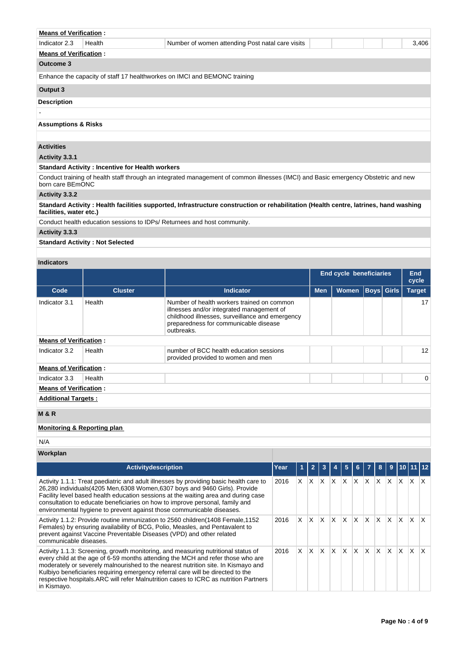| <b>Means of Verification:</b>  |                                                        |                                                                                                                                    |       |
|--------------------------------|--------------------------------------------------------|------------------------------------------------------------------------------------------------------------------------------------|-------|
| Indicator 2.3                  | Health                                                 | Number of women attending Post natal care visits                                                                                   | 3,406 |
| <b>Means of Verification:</b>  |                                                        |                                                                                                                                    |       |
| Outcome 3                      |                                                        |                                                                                                                                    |       |
|                                |                                                        | Enhance the capacity of staff 17 healthworkes on IMCI and BEMONC training                                                          |       |
| Output 3                       |                                                        |                                                                                                                                    |       |
| <b>Description</b>             |                                                        |                                                                                                                                    |       |
|                                |                                                        |                                                                                                                                    |       |
| <b>Assumptions &amp; Risks</b> |                                                        |                                                                                                                                    |       |
|                                |                                                        |                                                                                                                                    |       |
| <b>Activities</b>              |                                                        |                                                                                                                                    |       |
| Activity 3.3.1                 |                                                        |                                                                                                                                    |       |
|                                | <b>Standard Activity: Incentive for Health workers</b> |                                                                                                                                    |       |
| born care BEmONC               |                                                        | Conduct training of health staff through an integrated management of common illnesses (IMCI) and Basic emergency Obstetric and new |       |

### **Activity 3.3.2**

**Standard Activity : Health facilities supported, Infrastructure construction or rehabilitation (Health centre, latrines, hand washing facilities, water etc.)**

Conduct health education sessions to IDPs/ Returnees and host community.

# **Activity 3.3.3**

**Standard Activity : Not Selected**

### **Indicators**

|                               |                |                                                                                                                                                                                                   | <b>End cycle beneficiaries</b> |              |  |                   | End<br>cycle |
|-------------------------------|----------------|---------------------------------------------------------------------------------------------------------------------------------------------------------------------------------------------------|--------------------------------|--------------|--|-------------------|--------------|
| Code                          | <b>Cluster</b> | <b>Indicator</b>                                                                                                                                                                                  | <b>Men</b>                     | <b>Women</b> |  | <b>Boys Girls</b> | Target       |
| Indicator 3.1                 | Health         | Number of health workers trained on common<br>illnesses and/or integrated management of<br>childhood illnesses, surveillance and emergency<br>preparedness for communicable disease<br>outbreaks. |                                |              |  |                   | 17           |
| <b>Means of Verification:</b> |                |                                                                                                                                                                                                   |                                |              |  |                   |              |
| Indicator 3.2                 | Health         | number of BCC health education sessions<br>provided provided to women and men                                                                                                                     |                                |              |  |                   | 12           |
| <b>Means of Verification:</b> |                |                                                                                                                                                                                                   |                                |              |  |                   |              |
| Indicator 3.3                 | Health         |                                                                                                                                                                                                   |                                |              |  |                   | $\Omega$     |
| <b>Means of Verification:</b> |                |                                                                                                                                                                                                   |                                |              |  |                   |              |
| <b>Additional Targets:</b>    |                |                                                                                                                                                                                                   |                                |              |  |                   |              |
| <b>M&amp;R</b>                |                |                                                                                                                                                                                                   |                                |              |  |                   |              |

### **Monitoring & Reporting plan**

N/A

## **Workplan**

| <b>Activity description</b>                                                                                                                                                                                                                                                                                                                                                                                                                          | Year |    | 2 |              |   | 5 |   |              |   | 9        |   |   |   |
|------------------------------------------------------------------------------------------------------------------------------------------------------------------------------------------------------------------------------------------------------------------------------------------------------------------------------------------------------------------------------------------------------------------------------------------------------|------|----|---|--------------|---|---|---|--------------|---|----------|---|---|---|
| Activity 1.1.1: Treat paediatric and adult illnesses by providing basic health care to<br>26,280 individuals (4205 Men, 6308 Women, 6307 boys and 9460 Girls). Provide<br>Facility level based health education sessions at the waiting area and during case<br>consultation to educate beneficiaries on how to improve personal, family and<br>environmental hygiene to prevent against those communicable diseases.                                | 2016 | X. | X | x            | X | X | X | X            | X | X        | X | X | x |
| Activity 1.1.2: Provide routine immunization to 2560 children (1408 Female, 1152)<br>Females) by ensuring availability of BCG, Polio, Measles, and Pentavalent to<br>prevent against Vaccine Preventable Diseases (VPD) and other related<br>communicable diseases.                                                                                                                                                                                  | 2016 | X. | X | $\mathsf{x}$ | X | X | X | X            | X | $\times$ | X | X |   |
| Activity 1.1.3: Screening, growth monitoring, and measuring nutritional status of<br>every child at the age of 6-59 months attending the MCH and refer those who are<br>moderately or severely malnourished to the nearest nutrition site. In Kismayo and<br>Kulbiyo beneficiaries requiring emergency referral care will be directed to the<br>respective hospitals. ARC will refer Malnutrition cases to ICRC as nutrition Partners<br>in Kismayo. | 2016 | X. | X | X            | X | X | X | $\mathsf{x}$ | X | X        | X | X |   |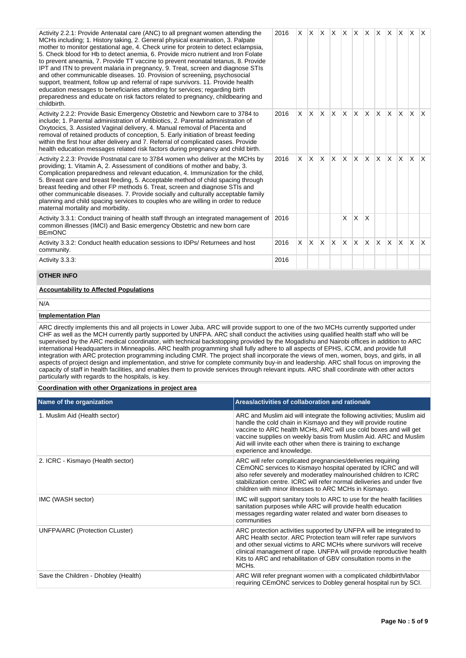| Activity 2.2.1: Provide Antenatal care (ANC) to all pregnant women attending the<br>MCHs including; 1. History taking, 2. General physical examination, 3. Palpate<br>mother to monitor gestational age, 4. Check urine for protein to detect eclampsia,<br>5. Check blood for Hb to detect anemia, 6. Provide micro nutrient and Iron Folate<br>to prevent aneamia, 7. Provide TT vaccine to prevent neonatal tetanus, 8. Provide<br>IPT and ITN to prevent malaria in pregnancy, 9. Treat, screen and diagnose STIs<br>and other communicable diseases. 10. Provision of screeniing, psychosocial<br>support, treatment, follow up and referral of rape survivors. 11. Provide health<br>education messages to beneficiaries attending for services; regarding birth<br>preparedness and educate on risk factors related to pregnancy, childbearing and<br>childbirth.                                                                                                                                                                                         |                                                                                                                                                                                                                                                                                                                                                                                | 2016 | X.                                                                                                                                                                                                                                                                                                                                                    |                 |              |              |              |    |              |              |          | $ X $ $ X $ $ X $ $ X $ $ X $ $ X $ $ X $ |              | $\mathsf{I} \mathsf{X}$ |
|------------------------------------------------------------------------------------------------------------------------------------------------------------------------------------------------------------------------------------------------------------------------------------------------------------------------------------------------------------------------------------------------------------------------------------------------------------------------------------------------------------------------------------------------------------------------------------------------------------------------------------------------------------------------------------------------------------------------------------------------------------------------------------------------------------------------------------------------------------------------------------------------------------------------------------------------------------------------------------------------------------------------------------------------------------------|--------------------------------------------------------------------------------------------------------------------------------------------------------------------------------------------------------------------------------------------------------------------------------------------------------------------------------------------------------------------------------|------|-------------------------------------------------------------------------------------------------------------------------------------------------------------------------------------------------------------------------------------------------------------------------------------------------------------------------------------------------------|-----------------|--------------|--------------|--------------|----|--------------|--------------|----------|-------------------------------------------|--------------|-------------------------|
| Activity 2.2.2: Provide Basic Emergency Obstetric and Newborn care to 3784 to<br>include; 1. Parental administration of Antibiotics, 2. Parental administration of<br>Oxytocics, 3. Assisted Vaginal delivery, 4. Manual removal of Placenta and<br>removal of retained products of conception, 5. Early initiation of breast feeding<br>within the first hour after delivery and 7. Referral of complicated cases. Provide<br>health education messages related risk factors during pregnancy and child birth.                                                                                                                                                                                                                                                                                                                                                                                                                                                                                                                                                  |                                                                                                                                                                                                                                                                                                                                                                                | 2016 | X                                                                                                                                                                                                                                                                                                                                                     | X.              | $\mathsf{X}$ | $\mathsf{X}$ | $\mathsf{X}$ | X. | X.           | $\mathsf{X}$ | <b>X</b> | <b>X</b>                                  | ΙX.          | $\mathsf{X}$            |
| Activity 2.2.3: Provide Postnatal care to 3784 women who deliver at the MCHs by<br>providing; 1. Vitamin A, 2. Assessment of conditions of mother and baby, 3.<br>Complication preparedness and relevant education, 4. Immunization for the child,<br>5. Breast care and breast feeding, 5. Acceptable method of child spacing through<br>breast feeding and other FP methods 6. Treat, screen and diagnose STIs and<br>other communicable diseases. 7. Provide socially and culturally acceptable family<br>planning and child spacing services to couples who are willing in order to reduce<br>maternal mortality and morbidity.                                                                                                                                                                                                                                                                                                                                                                                                                              |                                                                                                                                                                                                                                                                                                                                                                                | 2016 | X.                                                                                                                                                                                                                                                                                                                                                    | $X$ $X$ $X$ $X$ |              |              |              | X. | $\mathsf{X}$ | XX           |          | X.                                        | $\mathsf{X}$ | $\mathsf{X}$            |
| Activity 3.3.1: Conduct training of health staff through an integrated management of<br>common illnesses (IMCI) and Basic emergency Obstetric and new born care<br><b>BEmONC</b>                                                                                                                                                                                                                                                                                                                                                                                                                                                                                                                                                                                                                                                                                                                                                                                                                                                                                 |                                                                                                                                                                                                                                                                                                                                                                                | 2016 |                                                                                                                                                                                                                                                                                                                                                       |                 |              |              | X            | X  | Х            |              |          |                                           |              |                         |
| Activity 3.3.2: Conduct health education sessions to IDPs/ Returnees and host<br>community.                                                                                                                                                                                                                                                                                                                                                                                                                                                                                                                                                                                                                                                                                                                                                                                                                                                                                                                                                                      |                                                                                                                                                                                                                                                                                                                                                                                | 2016 | X.                                                                                                                                                                                                                                                                                                                                                    | X.              | $\mathsf{X}$ | $\mathsf{X}$ | X            | X  | X            | X.           | <b>X</b> | X                                         | $\mathsf{X}$ | $\mathsf{X}$            |
| Activity 3.3.3:                                                                                                                                                                                                                                                                                                                                                                                                                                                                                                                                                                                                                                                                                                                                                                                                                                                                                                                                                                                                                                                  |                                                                                                                                                                                                                                                                                                                                                                                | 2016 |                                                                                                                                                                                                                                                                                                                                                       |                 |              |              |              |    |              |              |          |                                           |              |                         |
| <b>OTHER INFO</b>                                                                                                                                                                                                                                                                                                                                                                                                                                                                                                                                                                                                                                                                                                                                                                                                                                                                                                                                                                                                                                                |                                                                                                                                                                                                                                                                                                                                                                                |      |                                                                                                                                                                                                                                                                                                                                                       |                 |              |              |              |    |              |              |          |                                           |              |                         |
| <b>Accountability to Affected Populations</b>                                                                                                                                                                                                                                                                                                                                                                                                                                                                                                                                                                                                                                                                                                                                                                                                                                                                                                                                                                                                                    |                                                                                                                                                                                                                                                                                                                                                                                |      |                                                                                                                                                                                                                                                                                                                                                       |                 |              |              |              |    |              |              |          |                                           |              |                         |
| N/A                                                                                                                                                                                                                                                                                                                                                                                                                                                                                                                                                                                                                                                                                                                                                                                                                                                                                                                                                                                                                                                              |                                                                                                                                                                                                                                                                                                                                                                                |      |                                                                                                                                                                                                                                                                                                                                                       |                 |              |              |              |    |              |              |          |                                           |              |                         |
| <b>Implementation Plan</b>                                                                                                                                                                                                                                                                                                                                                                                                                                                                                                                                                                                                                                                                                                                                                                                                                                                                                                                                                                                                                                       |                                                                                                                                                                                                                                                                                                                                                                                |      |                                                                                                                                                                                                                                                                                                                                                       |                 |              |              |              |    |              |              |          |                                           |              |                         |
| ARC directly implements this and all projects in Lower Juba. ARC will provide support to one of the two MCHs currently supported under<br>CHF as well as the MCH currently partly supported by UNFPA. ARC shall conduct the activities using qualified health staff who will be<br>supervised by the ARC medical coordinator, with technical backstopping provided by the Mogadishu and Nairobi offices in addition to ARC<br>international Headquarters in Minneapolis. ARC health programming shall fully adhere to all aspects of EPHS, iCCM, and provide full<br>integration with ARC protection programming including CMR. The project shall incorporate the views of men, women, boys, and girls, in all<br>aspects of project design and implementation, and strive for complete community buy-in and leadership. ARC shall focus on improving the<br>capacity of staff in health facilities, and enables them to provide services through relevant inputs. ARC shall coordinate with other actors<br>particularly with regards to the hospitals, is key. |                                                                                                                                                                                                                                                                                                                                                                                |      |                                                                                                                                                                                                                                                                                                                                                       |                 |              |              |              |    |              |              |          |                                           |              |                         |
| Coordination with other Organizations in project area                                                                                                                                                                                                                                                                                                                                                                                                                                                                                                                                                                                                                                                                                                                                                                                                                                                                                                                                                                                                            |                                                                                                                                                                                                                                                                                                                                                                                |      |                                                                                                                                                                                                                                                                                                                                                       |                 |              |              |              |    |              |              |          |                                           |              |                         |
| Name of the organization                                                                                                                                                                                                                                                                                                                                                                                                                                                                                                                                                                                                                                                                                                                                                                                                                                                                                                                                                                                                                                         | Areas/activities of collaboration and rationale                                                                                                                                                                                                                                                                                                                                |      |                                                                                                                                                                                                                                                                                                                                                       |                 |              |              |              |    |              |              |          |                                           |              |                         |
| 1. Muslim Aid (Health sector)                                                                                                                                                                                                                                                                                                                                                                                                                                                                                                                                                                                                                                                                                                                                                                                                                                                                                                                                                                                                                                    | ARC and Muslim aid will integrate the following activities; Muslim aid<br>handle the cold chain in Kismayo and they will provide routine<br>vaccine to ARC health MCHs, ARC will use cold boxes and will get<br>vaccine supplies on weekly basis from Muslim Aid. ARC and Muslim<br>Aid will invite each other when there is training to exchange<br>experience and knowledge. |      |                                                                                                                                                                                                                                                                                                                                                       |                 |              |              |              |    |              |              |          |                                           |              |                         |
| 2. ICRC - Kismayo (Health sector)                                                                                                                                                                                                                                                                                                                                                                                                                                                                                                                                                                                                                                                                                                                                                                                                                                                                                                                                                                                                                                |                                                                                                                                                                                                                                                                                                                                                                                |      | ARC will refer complicated pregnancies/deliveries requiring<br>CEmONC services to Kismayo hospital operated by ICRC and will<br>also refer severely and moderatley malnourished children to ICRC<br>stabilization centre. ICRC will refer normal deliveries and under five<br>children with minor illnesses to ARC MCHs in Kismayo.                   |                 |              |              |              |    |              |              |          |                                           |              |                         |
| IMC (WASH sector)                                                                                                                                                                                                                                                                                                                                                                                                                                                                                                                                                                                                                                                                                                                                                                                                                                                                                                                                                                                                                                                | IMC will support sanitary tools to ARC to use for the health facilities<br>sanitation purposes while ARC will provide health education<br>messages regarding water related and water born diseases to<br>communities                                                                                                                                                           |      |                                                                                                                                                                                                                                                                                                                                                       |                 |              |              |              |    |              |              |          |                                           |              |                         |
| UNFPA/ARC (Protection CLuster)<br>MCH <sub>s</sub> .                                                                                                                                                                                                                                                                                                                                                                                                                                                                                                                                                                                                                                                                                                                                                                                                                                                                                                                                                                                                             |                                                                                                                                                                                                                                                                                                                                                                                |      | ARC protection activities supported by UNFPA will be integrated to<br>ARC Health sector. ARC Protection team will refer rape survivors<br>and other sexual victims to ARC MCHs where survivors will receive<br>clinical management of rape. UNFPA will provide reproductive health<br>Kits to ARC and rehabilitation of GBV consultation rooms in the |                 |              |              |              |    |              |              |          |                                           |              |                         |
| ARC Will refer pregnant women with a complicated childbirth/labor<br>Save the Children - Dhobley (Health)<br>requiring CEmONC services to Dobley general hospital run by SCI.                                                                                                                                                                                                                                                                                                                                                                                                                                                                                                                                                                                                                                                                                                                                                                                                                                                                                    |                                                                                                                                                                                                                                                                                                                                                                                |      |                                                                                                                                                                                                                                                                                                                                                       |                 |              |              |              |    |              |              |          |                                           |              |                         |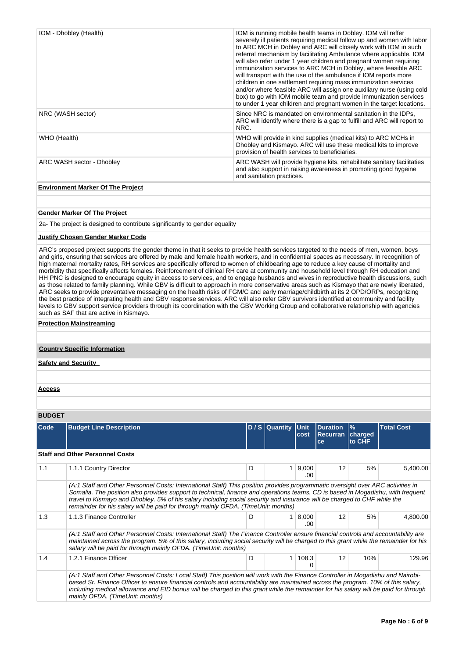| IOM - Dhobley (Health)                   | IOM is running mobile health teams in Dobley. IOM will reffer<br>severely ill patients requiring medical follow up and women with labor<br>to ARC MCH in Dobley and ARC will closely work with IOM in such<br>referral mechanism by facilitating Ambulance where applicable. IOM<br>will also refer under 1 year children and pregnant women requiring<br>immunization services to ARC MCH in Dobley, where feasible ARC<br>will transport with the use of the ambulance if IOM reports more<br>children in one sattlement requiring mass immunization services<br>and/or where feasible ARC will assign one auxiliary nurse (using cold<br>box) to go with IOM mobile team and provide immunization services<br>to under 1 year children and pregnant women in the target locations. |
|------------------------------------------|---------------------------------------------------------------------------------------------------------------------------------------------------------------------------------------------------------------------------------------------------------------------------------------------------------------------------------------------------------------------------------------------------------------------------------------------------------------------------------------------------------------------------------------------------------------------------------------------------------------------------------------------------------------------------------------------------------------------------------------------------------------------------------------|
| NRC (WASH sector)                        | Since NRC is mandated on environmental sanitation in the IDPs,<br>ARC will identify where there is a gap to fulfill and ARC will report to<br>NRC.                                                                                                                                                                                                                                                                                                                                                                                                                                                                                                                                                                                                                                    |
| WHO (Health)                             | WHO will provide in kind supplies (medical kits) to ARC MCHs in<br>Dhobley and Kismayo. ARC will use these medical kits to improve<br>provision of health services to beneficiaries.                                                                                                                                                                                                                                                                                                                                                                                                                                                                                                                                                                                                  |
| ARC WASH sector - Dhobley                | ARC WASH will provide hygiene kits, rehabilitate sanitary facilitaties<br>and also support in raising awareness in promoting good hygeine<br>and sanitation practices.                                                                                                                                                                                                                                                                                                                                                                                                                                                                                                                                                                                                                |
| <b>Environment Marker Of The Project</b> |                                                                                                                                                                                                                                                                                                                                                                                                                                                                                                                                                                                                                                                                                                                                                                                       |

#### **Gender Marker Of The Project**

2a- The project is designed to contribute significantly to gender equality

### **Justify Chosen Gender Marker Code**

ARC's proposed project supports the gender theme in that it seeks to provide health services targeted to the needs of men, women, boys and girls, ensuring that services are offered by male and female health workers, and in confidential spaces as necessary. In recognition of high maternal mortality rates, RH services are specifically offered to women of childbearing age to reduce a key cause of mortality and morbidity that specifically affects females. Reinforcement of clinical RH care at community and household level through RH education and morbidity that specifically affects females. Reinforcement of clinical RH care at com HH PNC is designed to encourage equity in access to services, and to engage husbands and wives in reproductive health discussions, such as those related to family planning. While GBV is difficult to approach in more conservative areas such as Kismayo that are newly liberated, ARC seeks to provide preventative messaging on the health risks of FGM/C and early marriage/childbirth at its 2 OPD/ORPs, recognizing the best practice of integrating health and GBV response services. ARC will also refer GBV survivors identified at community and facility levels to GBV support service providers through its coordination with the GBV Working Group and collaborative relationship with agencies such as SAF that are active in Kismayo.

#### **Protection Mainstreaming**

### **Country Specific Information**

**Safety and Security** 

**Access**

### **BUDGET**

| Code | <b>Budget Line Description</b>                                                                                                                                                                                                                                                                                                                                                                                                                                                      |   | D / S Quantity Unit | cost             | <b>Duration</b><br><b>Recurran charged</b><br>ce | $\frac{9}{6}$<br>to CHF | <b>Total Cost</b> |
|------|-------------------------------------------------------------------------------------------------------------------------------------------------------------------------------------------------------------------------------------------------------------------------------------------------------------------------------------------------------------------------------------------------------------------------------------------------------------------------------------|---|---------------------|------------------|--------------------------------------------------|-------------------------|-------------------|
|      | <b>Staff and Other Personnel Costs</b>                                                                                                                                                                                                                                                                                                                                                                                                                                              |   |                     |                  |                                                  |                         |                   |
| 1.1  | 1.1.1 Country Director                                                                                                                                                                                                                                                                                                                                                                                                                                                              | D |                     | 1   9,000<br>.00 | 12                                               | 5%                      | 5,400.00          |
|      | (A:1 Staff and Other Personnel Costs: International Staff) This position provides programmatic oversight over ARC activities in<br>Somalia. The position also provides support to technical, finance and operations teams. CD is based in Mogadishu, with frequent<br>travel to Kismayo and Dhobley. 5% of his salary including social security and insurance will be charged to CHF while the<br>remainder for his salary will be paid for through mainly OFDA. (TimeUnit: months) |   |                     |                  |                                                  |                         |                   |
| 1.3  | 1.1.3 Finance Controller                                                                                                                                                                                                                                                                                                                                                                                                                                                            | D |                     | 1   8,000<br>.ററ | 12                                               | 5%                      | 4,800.00          |
|      | (A:1 Staff and Other Personnel Costs: International Staff) The Finance Controller ensure financial controls and accountability are<br>maintained across the program. 5% of this salary, including social security will be charged to this grant while the remainder for his<br>salary will be paid for through mainly OFDA. (TimeUnit: months)                                                                                                                                      |   |                     |                  |                                                  |                         |                   |
| 1.4  | 1.2.1 Finance Officer                                                                                                                                                                                                                                                                                                                                                                                                                                                               | D | 1 <sup>1</sup>      | 108.3            | 12                                               | 10%                     | 129.96            |
|      | (A:1 Staff and Other Personnel Costs: Local Staff) This position will work with the Finance Controller in Mogadishu and Nairobi-<br>based Sr. Finance Officer to ensure financial controls and accountability are maintained across the program. 10% of this salary,<br>including medical allowance and EID bonus will be charged to this grant while the remainder for his salary will be paid for through<br>mainly OFDA. (TimeUnit: months)                                      |   |                     |                  |                                                  |                         |                   |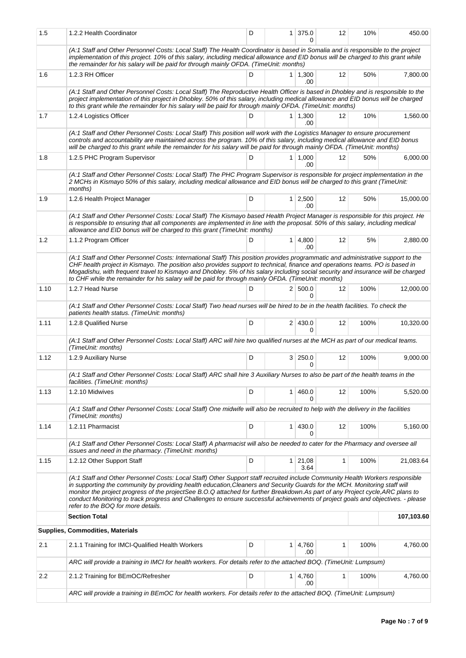| 1.5  | 1.2.2 Health Coordinator                                                                                                                                                                                                                                                                                                                                                                                                                                                                                                                                               | D |                | $1 \mid 375.0$<br>U     | 12 | 10%  | 450.00     |
|------|------------------------------------------------------------------------------------------------------------------------------------------------------------------------------------------------------------------------------------------------------------------------------------------------------------------------------------------------------------------------------------------------------------------------------------------------------------------------------------------------------------------------------------------------------------------------|---|----------------|-------------------------|----|------|------------|
|      | (A:1 Staff and Other Personnel Costs: Local Staff) The Health Coordinator is based in Somalia and is responsible to the project<br>implementation of this project. 10% of this salary, including medical allowance and EID bonus will be charged to this grant while<br>the remainder for his salary will be paid for through mainly OFDA. (TimeUnit: months)                                                                                                                                                                                                          |   |                |                         |    |      |            |
| 1.6  | 1.2.3 RH Officer                                                                                                                                                                                                                                                                                                                                                                                                                                                                                                                                                       | D |                | $1 \mid 1,300$<br>.00   | 12 | 50%  | 7,800.00   |
|      | (A:1 Staff and Other Personnel Costs: Local Staff) The Reproductive Health Officer is based in Dhobley and is responsible to the<br>project implementation of this project in Dhobley. 50% of this salary, including medical allowance and EID bonus will be charged<br>to this grant while the remainder for his salary will be paid for through mainly OFDA. (TimeUnit: months)                                                                                                                                                                                      |   |                |                         |    |      |            |
| 1.7  | 1.2.4 Logistics Officer                                                                                                                                                                                                                                                                                                                                                                                                                                                                                                                                                | D |                | $1 \mid 1,300$<br>.00   | 12 | 10%  | 1,560.00   |
|      | (A:1 Staff and Other Personnel Costs: Local Staff) This position will work with the Logistics Manager to ensure procurement<br>controls and accountability are maintained across the program. 10% of this salary, including medical allowance and EID bonus<br>will be charged to this grant while the remainder for his salary will be paid for through mainly OFDA. (TimeUnit: months)                                                                                                                                                                               |   |                |                         |    |      |            |
| 1.8  | 1.2.5 PHC Program Supervisor                                                                                                                                                                                                                                                                                                                                                                                                                                                                                                                                           | D |                | $1 \mid 1,000$<br>.00   | 12 | 50%  | 6,000.00   |
|      | (A:1 Staff and Other Personnel Costs: Local Staff) The PHC Program Supervisor is responsible for project implementation in the<br>2 MCHs in Kismayo 50% of this salary, including medical allowance and EID bonus will be charged to this grant (TimeUnit:<br>months)                                                                                                                                                                                                                                                                                                  |   |                |                         |    |      |            |
| 1.9  | 1.2.6 Health Project Manager                                                                                                                                                                                                                                                                                                                                                                                                                                                                                                                                           | D |                | $1 \mid 2,500$<br>.00.  | 12 | 50%  | 15,000.00  |
|      | (A:1 Staff and Other Personnel Costs: Local Staff) The Kismayo based Health Project Manager is responsible for this project. He<br>is responsible to ensuring that all components are implemented in line with the proposal. 50% of this salary, including medical<br>allowance and EID bonus will be charged to this grant (TimeUnit: months)                                                                                                                                                                                                                         |   |                |                         |    |      |            |
| 1.2  | 1.1.2 Program Officer                                                                                                                                                                                                                                                                                                                                                                                                                                                                                                                                                  | D |                | $1 \mid 4,800$<br>.00   | 12 | 5%   | 2,880.00   |
|      | (A:1 Staff and Other Personnel Costs: International Staff) This position provides programmatic and administrative support to the<br>CHF health project in Kismayo. The position also provides support to technical, finance and operations teams. PO is based in<br>Mogadishu, with frequent travel to Kismayo and Dhobley. 5% of his salary including social security and insurance will be charged<br>to CHF while the remainder for his salary will be paid for through mainly OFDA. (TimeUnit: months)                                                             |   |                |                         |    |      |            |
| 1.10 | 1.2.7 Head Nurse                                                                                                                                                                                                                                                                                                                                                                                                                                                                                                                                                       | D |                | 2   500.0<br>0          | 12 | 100% | 12,000.00  |
|      | (A:1 Staff and Other Personnel Costs: Local Staff) Two head nurses will be hired to be in the health facilities. To check the<br>patients health status. (TimeUnit: months)                                                                                                                                                                                                                                                                                                                                                                                            |   |                |                         |    |      |            |
| 1.11 | 1.2.8 Qualified Nurse                                                                                                                                                                                                                                                                                                                                                                                                                                                                                                                                                  | D |                | 2 430.0<br>0            | 12 | 100% | 10,320.00  |
|      | (A:1 Staff and Other Personnel Costs: Local Staff) ARC will hire two qualified nurses at the MCH as part of our medical teams.<br>(TimeUnit: months)                                                                                                                                                                                                                                                                                                                                                                                                                   |   |                |                         |    |      |            |
| 1.12 | 1.2.9 Auxiliary Nurse                                                                                                                                                                                                                                                                                                                                                                                                                                                                                                                                                  | D |                | 3 250.0<br><sup>0</sup> | 12 | 100% | 9,000.00   |
|      | (A:1 Staff and Other Personnel Costs: Local Staff) ARC shall hire 3 Auxiliary Nurses to also be part of the health teams in the<br>facilities. (TimeUnit: months)                                                                                                                                                                                                                                                                                                                                                                                                      |   |                |                         |    |      |            |
| 1.13 | 1.2.10 Midwives                                                                                                                                                                                                                                                                                                                                                                                                                                                                                                                                                        | D | $\mathbf{1}$   | 460.0<br>0              | 12 | 100% | 5,520.00   |
|      | (A:1 Staff and Other Personnel Costs: Local Staff) One midwife will also be recruited to help with the delivery in the facilities<br>(TimeUnit: months)                                                                                                                                                                                                                                                                                                                                                                                                                |   |                |                         |    |      |            |
| 1.14 | 1.2.11 Pharmacist                                                                                                                                                                                                                                                                                                                                                                                                                                                                                                                                                      | D | 1 <sup>1</sup> | 430.0<br>U              | 12 | 100% | 5.160.00   |
|      | (A:1 Staff and Other Personnel Costs: Local Staff) A pharmacist will also be needed to cater for the Pharmacy and oversee all<br>issues and need in the pharmacy. (TimeUnit: months)                                                                                                                                                                                                                                                                                                                                                                                   |   |                |                         |    |      |            |
| 1.15 | 1.2.12 Other Support Staff                                                                                                                                                                                                                                                                                                                                                                                                                                                                                                                                             | D |                | 1 21,08<br>3.64         | 1  | 100% | 21,083.64  |
|      | (A:1 Staff and Other Personnel Costs: Local Staff) Other Support staff recruited include Community Health Workers responsible<br>in supporting the community by providing health education, Cleaners and Security Guards for the MCH. Monitoring staff will<br>monitor the project progress of the projectSee B.O.Q attached for further Breakdown.As part of any Project cycle, ARC plans to<br>conduct Monitoring to track progress and Challenges to ensure successful achievements of project goals and objectives. - please<br>refer to the BOQ for more details. |   |                |                         |    |      |            |
|      | <b>Section Total</b>                                                                                                                                                                                                                                                                                                                                                                                                                                                                                                                                                   |   |                |                         |    |      | 107,103.60 |
|      | Supplies, Commodities, Materials                                                                                                                                                                                                                                                                                                                                                                                                                                                                                                                                       |   |                |                         |    |      |            |
| 2.1  | 2.1.1 Training for IMCI-Qualified Health Workers                                                                                                                                                                                                                                                                                                                                                                                                                                                                                                                       | D | 1 <sup>1</sup> | 4,760<br>.00            | 1  | 100% | 4,760.00   |
|      | ARC will provide a training in IMCI for health workers. For details refer to the attached BOQ. (TimeUnit: Lumpsum)                                                                                                                                                                                                                                                                                                                                                                                                                                                     |   |                |                         |    |      |            |
| 2.2  | 2.1.2 Training for BEmOC/Refresher                                                                                                                                                                                                                                                                                                                                                                                                                                                                                                                                     | D |                | $1 \mid 4,760$<br>.00   | 1  | 100% | 4,760.00   |
|      | ARC will provide a training in BEmOC for health workers. For details refer to the attached BOQ. (TimeUnit: Lumpsum)                                                                                                                                                                                                                                                                                                                                                                                                                                                    |   |                |                         |    |      |            |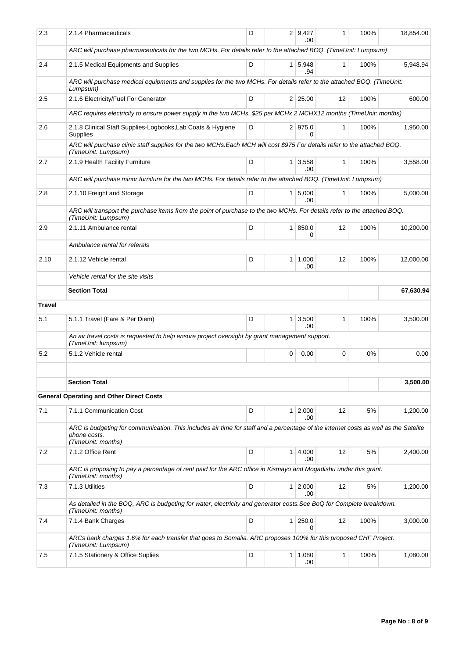| 2.3           | 2.1.4 Pharmaceuticals                                                                                                                                                     | D |                | 2   9,427<br>.00        | 1            | 100% | 18,854.00 |
|---------------|---------------------------------------------------------------------------------------------------------------------------------------------------------------------------|---|----------------|-------------------------|--------------|------|-----------|
|               | ARC will purchase pharmaceuticals for the two MCHs. For details refer to the attached BOQ. (TimeUnit: Lumpsum)                                                            |   |                |                         |              |      |           |
| 2.4           | 2.1.5 Medical Equipments and Supplies                                                                                                                                     | D |                | $1 \mid 5,948$<br>.94   | $\mathbf{1}$ | 100% | 5,948.94  |
|               | ARC will purchase medical equipments and supplies for the two MCHs. For details refer to the attached BOQ. (TimeUnit:<br>Lumpsum)                                         |   |                |                         |              |      |           |
| 2.5           | 2.1.6 Electricity/Fuel For Generator                                                                                                                                      | D |                | 2 25.00                 | 12           | 100% | 600.00    |
|               | ARC requires electricity to ensure power supply in the two MCHs. \$25 per MCHx 2 MCHX12 months (TimeUnit: months)                                                         |   |                |                         |              |      |           |
| 2.6           | 2.1.8 Clinical Staff Supplies-Logbooks, Lab Coats & Hygiene<br>Supplies                                                                                                   | D |                | 2 975.0<br><sup>0</sup> | $\mathbf{1}$ | 100% | 1.950.00  |
|               | ARC will purchase clinic staff supplies for the two MCHs.Each MCH will cost \$975 For details refer to the attached BOQ.<br>(TimeUnit: Lumpsum)                           |   |                |                         |              |      |           |
| 2.7           | 2.1.9 Health Facility Furniture                                                                                                                                           | D |                | $1 \mid 3,558$<br>.00   | 1            | 100% | 3,558.00  |
|               | ARC will purchase minor furniture for the two MCHs. For details refer to the attached BOQ. (TimeUnit: Lumpsum)                                                            |   |                |                         |              |      |           |
| 2.8           | 2.1.10 Freight and Storage                                                                                                                                                | D |                | $1 \, 5,000$<br>.00.    | 1            | 100% | 5,000.00  |
|               | ARC will transport the purchase items from the point of purchase to the two MCHs. For details refer to the attached BOQ.<br>(TimeUnit: Lumpsum)                           |   |                |                         |              |      |           |
| 2.9           | 2.1.11 Ambulance rental                                                                                                                                                   | D |                | 1 850.0<br>0            | 12           | 100% | 10,200.00 |
|               | Ambulance rental for referals                                                                                                                                             |   |                |                         |              |      |           |
| 2.10          | 2.1.12 Vehicle rental                                                                                                                                                     | D | 1 <sup>1</sup> | 1,000<br>.00            | 12           | 100% | 12,000.00 |
|               | Vehicle rental for the site visits                                                                                                                                        |   |                |                         |              |      |           |
|               | <b>Section Total</b>                                                                                                                                                      |   |                |                         |              |      | 67,630.94 |
| <b>Travel</b> |                                                                                                                                                                           |   |                |                         |              |      |           |
| 5.1           | 5.1.1 Travel (Fare & Per Diem)                                                                                                                                            | D |                | $1 \mid 3,500$<br>.00   | 1            | 100% | 3,500.00  |
|               | An air travel costs is requested to help ensure project oversight by grant management support.<br>(TimeUnit: lumpsum)                                                     |   |                |                         |              |      |           |
| 5.2           | 5.1.2 Vehicle rental                                                                                                                                                      |   | 0              | 0.00                    | 0            | 0%   | 0.00      |
|               | <b>Section Total</b>                                                                                                                                                      |   |                |                         |              |      | 3,500.00  |
|               | <b>General Operating and Other Direct Costs</b>                                                                                                                           |   |                |                         |              |      |           |
|               |                                                                                                                                                                           |   |                |                         |              |      |           |
| 7.1           | 7.1.1 Communication Cost                                                                                                                                                  | D |                | $1 \mid 2,000$<br>.00   | 12           | 5%   | 1,200.00  |
|               | ARC is budgeting for communication. This includes air time for staff and a percentage of the internet costs as well as the Satelite<br>phone costs.<br>(TimeUnit: months) |   |                |                         |              |      |           |
| 7.2           | 7.1.2 Office Rent                                                                                                                                                         | D |                | 1   4,000<br>.00        | 12           | 5%   | 2,400.00  |
|               | ARC is proposing to pay a percentage of rent paid for the ARC office in Kismayo and Mogadishu under this grant.<br>(TimeUnit: months)                                     |   |                |                         |              |      |           |
| 7.3           | 7.1.3 Utilities                                                                                                                                                           | D |                | $1 \mid 2,000$<br>.00   | 12           | 5%   | 1,200.00  |
|               | As detailed in the BOQ, ARC is budgeting for water, electricity and generator costs. See BoQ for Complete breakdown.<br>(TimeUnit: months)                                |   |                |                         |              |      |           |
| 7.4           | 7.1.4 Bank Charges                                                                                                                                                        | D |                | $1 \,   \, 250.0$<br>0  | 12           | 100% | 3,000.00  |
|               | ARCs bank charges 1.6% for each transfer that goes to Somalia. ARC proposes 100% for this proposed CHF Project.<br>(TimeUnit: Lumpsum)                                    |   |                |                         |              |      |           |
| 7.5           | 7.1.5 Stationery & Office Suplies                                                                                                                                         | D |                | $1 \mid 1,080$<br>.00   | 1            | 100% | 1,080.00  |